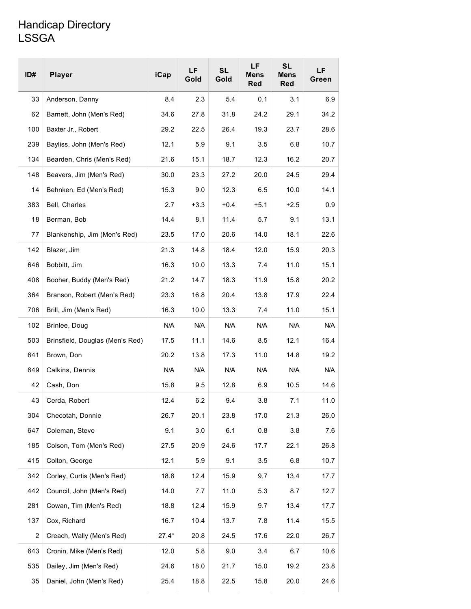## Handicap Directory LSSGA

| ID#<br><b>Player</b>                   | iCap    | LF<br>Gold | <b>SL</b><br>Gold | LF<br><b>Mens</b><br><b>Red</b> | <b>SL</b><br><b>Mens</b><br>Red | LF<br>Green |
|----------------------------------------|---------|------------|-------------------|---------------------------------|---------------------------------|-------------|
| 33<br>Anderson, Danny                  | 8.4     | 2.3        | 5.4               | 0.1                             | 3.1                             | 6.9         |
| 62<br>Barnett, John (Men's Red)        | 34.6    | 27.8       | 31.8              | 24.2                            | 29.1                            | 34.2        |
| 100<br>Baxter Jr., Robert              | 29.2    | 22.5       | 26.4              | 19.3                            | 23.7                            | 28.6        |
| 239<br>Bayliss, John (Men's Red)       | 12.1    | 5.9        | 9.1               | 3.5                             | 6.8                             | 10.7        |
| 134<br>Bearden, Chris (Men's Red)      | 21.6    | 15.1       | 18.7              | 12.3                            | 16.2                            | 20.7        |
| 148<br>Beavers, Jim (Men's Red)        | 30.0    | 23.3       | 27.2              | 20.0                            | 24.5                            | 29.4        |
| 14<br>Behnken, Ed (Men's Red)          | 15.3    | 9.0        | 12.3              | 6.5                             | 10.0                            | 14.1        |
| 383<br>Bell, Charles                   | 2.7     | $+3.3$     | $+0.4$            | $+5.1$                          | $+2.5$                          | 0.9         |
| 18<br>Berman, Bob                      | 14.4    | 8.1        | 11.4              | 5.7                             | 9.1                             | 13.1        |
| Blankenship, Jim (Men's Red)<br>77     | 23.5    | 17.0       | 20.6              | 14.0                            | 18.1                            | 22.6        |
| 142<br>Blazer, Jim                     | 21.3    | 14.8       | 18.4              | 12.0                            | 15.9                            | 20.3        |
| 646<br>Bobbitt, Jim                    | 16.3    | 10.0       | 13.3              | 7.4                             | 11.0                            | 15.1        |
| 408<br>Booher, Buddy (Men's Red)       | 21.2    | 14.7       | 18.3              | 11.9                            | 15.8                            | 20.2        |
| 364<br>Branson, Robert (Men's Red)     | 23.3    | 16.8       | 20.4              | 13.8                            | 17.9                            | 22.4        |
| 706<br>Brill, Jim (Men's Red)          | 16.3    | 10.0       | 13.3              | 7.4                             | 11.0                            | 15.1        |
| 102<br>Brinlee, Doug                   | N/A     | N/A        | N/A               | N/A                             | N/A                             | N/A         |
| 503<br>Brinsfield, Douglas (Men's Red) | 17.5    | 11.1       | 14.6              | 8.5                             | 12.1                            | 16.4        |
| 641<br>Brown, Don                      | 20.2    | 13.8       | 17.3              | 11.0                            | 14.8                            | 19.2        |
| 649<br>Calkins, Dennis                 | N/A     | N/A        | N/A               | N/A                             | N/A                             | N/A         |
| 42<br>Cash, Don                        | 15.8    | 9.5        | 12.8              | 6.9                             | 10.5                            | 14.6        |
| 43<br>Cerda, Robert                    | 12.4    | 6.2        | 9.4               | 3.8                             | 7.1                             | 11.0        |
| 304<br>Checotah, Donnie                | 26.7    | 20.1       | 23.8              | 17.0                            | 21.3                            | 26.0        |
| 647<br>Coleman, Steve                  | 9.1     | 3.0        | 6.1               | 0.8                             | 3.8                             | 7.6         |
| 185<br>Colson, Tom (Men's Red)         | 27.5    | 20.9       | 24.6              | 17.7                            | 22.1                            | 26.8        |
| 415<br>Colton, George                  | 12.1    | 5.9        | 9.1               | 3.5                             | 6.8                             | 10.7        |
| 342<br>Corley, Curtis (Men's Red)      | 18.8    | 12.4       | 15.9              | 9.7                             | 13.4                            | 17.7        |
| 442<br>Council, John (Men's Red)       | 14.0    | 7.7        | 11.0              | 5.3                             | 8.7                             | 12.7        |
| 281<br>Cowan, Tim (Men's Red)          | 18.8    | 12.4       | 15.9              | 9.7                             | 13.4                            | 17.7        |
| 137<br>Cox, Richard                    | 16.7    | 10.4       | 13.7              | 7.8                             | 11.4                            | 15.5        |
| 2<br>Creach, Wally (Men's Red)         | $27.4*$ | 20.8       | 24.5              | 17.6                            | 22.0                            | 26.7        |
| 643<br>Cronin, Mike (Men's Red)        | 12.0    | 5.8        | 9.0               | 3.4                             | 6.7                             | 10.6        |
| 535<br>Dailey, Jim (Men's Red)         | 24.6    | 18.0       | 21.7              | 15.0                            | 19.2                            | 23.8        |
| 35<br>Daniel, John (Men's Red)         | 25.4    | 18.8       | 22.5              | 15.8                            | 20.0                            | 24.6        |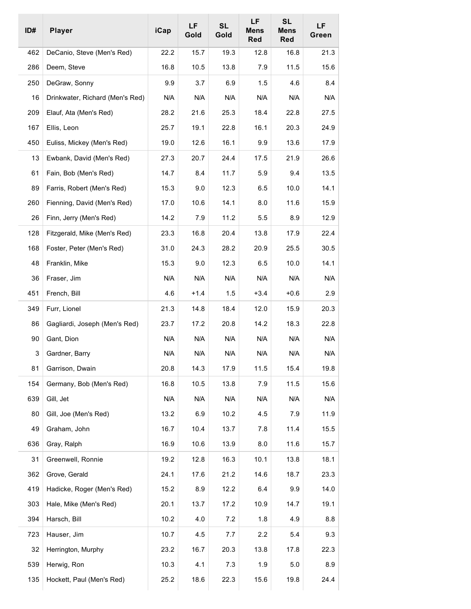| ID# | <b>Player</b>                   | iCap | LF<br>Gold | <b>SL</b><br>Gold | LF<br><b>Mens</b><br><b>Red</b> | <b>SL</b><br>Mens<br>Red | LF<br>Green |
|-----|---------------------------------|------|------------|-------------------|---------------------------------|--------------------------|-------------|
| 462 | DeCanio, Steve (Men's Red)      | 22.2 | 15.7       | 19.3              | 12.8                            | 16.8                     | 21.3        |
| 286 | Deem, Steve                     | 16.8 | 10.5       | 13.8              | 7.9                             | 11.5                     | 15.6        |
| 250 | DeGraw, Sonny                   | 9.9  | 3.7        | 6.9               | 1.5                             | 4.6                      | 8.4         |
| 16  | Drinkwater, Richard (Men's Red) | N/A  | N/A        | N/A               | N/A                             | N/A                      | N/A         |
| 209 | Elauf, Ata (Men's Red)          | 28.2 | 21.6       | 25.3              | 18.4                            | 22.8                     | 27.5        |
| 167 | Ellis, Leon                     | 25.7 | 19.1       | 22.8              | 16.1                            | 20.3                     | 24.9        |
| 450 | Euliss, Mickey (Men's Red)      | 19.0 | 12.6       | 16.1              | 9.9                             | 13.6                     | 17.9        |
| 13  | Ewbank, David (Men's Red)       | 27.3 | 20.7       | 24.4              | 17.5                            | 21.9                     | 26.6        |
| 61  | Fain, Bob (Men's Red)           | 14.7 | 8.4        | 11.7              | 5.9                             | 9.4                      | 13.5        |
| 89  | Farris, Robert (Men's Red)      | 15.3 | 9.0        | 12.3              | 6.5                             | 10.0                     | 14.1        |
| 260 | Fienning, David (Men's Red)     | 17.0 | 10.6       | 14.1              | 8.0                             | 11.6                     | 15.9        |
| 26  | Finn, Jerry (Men's Red)         | 14.2 | 7.9        | 11.2              | 5.5                             | 8.9                      | 12.9        |
| 128 | Fitzgerald, Mike (Men's Red)    | 23.3 | 16.8       | 20.4              | 13.8                            | 17.9                     | 22.4        |
| 168 | Foster, Peter (Men's Red)       | 31.0 | 24.3       | 28.2              | 20.9                            | 25.5                     | 30.5        |
| 48  | Franklin, Mike                  | 15.3 | 9.0        | 12.3              | 6.5                             | 10.0                     | 14.1        |
| 36  | Fraser, Jim                     | N/A  | N/A        | N/A               | N/A                             | N/A                      | N/A         |
| 451 | French, Bill                    | 4.6  | $+1.4$     | 1.5               | $+3.4$                          | +0.6                     | 2.9         |
| 349 | Furr, Lionel                    | 21.3 | 14.8       | 18.4              | 12.0                            | 15.9                     | 20.3        |
| 86  | Gagliardi, Joseph (Men's Red)   | 23.7 | 17.2       | 20.8              | 14.2                            | 18.3                     | 22.8        |
| 90  | Gant, Dion                      | N/A  | N/A        | N/A               | N/A                             | N/A                      | N/A         |
| 3   | Gardner, Barry                  | N/A  | N/A        | N/A               | N/A                             | N/A                      | N/A         |
| 81  | Garrison, Dwain                 | 20.8 | 14.3       | 17.9              | 11.5                            | 15.4                     | 19.8        |
| 154 | Germany, Bob (Men's Red)        | 16.8 | 10.5       | 13.8              | 7.9                             | 11.5                     | 15.6        |
| 639 | Gill, Jet                       | N/A  | N/A        | N/A               | N/A                             | N/A                      | N/A         |
| 80  | Gill, Joe (Men's Red)           | 13.2 | 6.9        | 10.2              | 4.5                             | 7.9                      | 11.9        |
| 49  | Graham, John                    | 16.7 | 10.4       | 13.7              | 7.8                             | 11.4                     | 15.5        |
| 636 | Gray, Ralph                     | 16.9 | 10.6       | 13.9              | 8.0                             | 11.6                     | 15.7        |
| 31  | Greenwell, Ronnie               | 19.2 | 12.8       | 16.3              | 10.1                            | 13.8                     | 18.1        |
| 362 | Grove, Gerald                   | 24.1 | 17.6       | 21.2              | 14.6                            | 18.7                     | 23.3        |
| 419 | Hadicke, Roger (Men's Red)      | 15.2 | 8.9        | 12.2              | 6.4                             | 9.9                      | 14.0        |
| 303 | Hale, Mike (Men's Red)          | 20.1 | 13.7       | 17.2              | 10.9                            | 14.7                     | 19.1        |
| 394 | Harsch, Bill                    | 10.2 | 4.0        | 7.2               | 1.8                             | 4.9                      | 8.8         |
| 723 | Hauser, Jim                     | 10.7 | 4.5        | 7.7               | 2.2                             | 5.4                      | 9.3         |
| 32  | Herrington, Murphy              | 23.2 | 16.7       | 20.3              | 13.8                            | 17.8                     | 22.3        |
| 539 | Herwig, Ron                     | 10.3 | 4.1        | 7.3               | 1.9                             | 5.0                      | 8.9         |
| 135 | Hockett, Paul (Men's Red)       | 25.2 | 18.6       | 22.3              | 15.6                            | 19.8                     | 24.4        |
|     |                                 |      |            |                   |                                 |                          |             |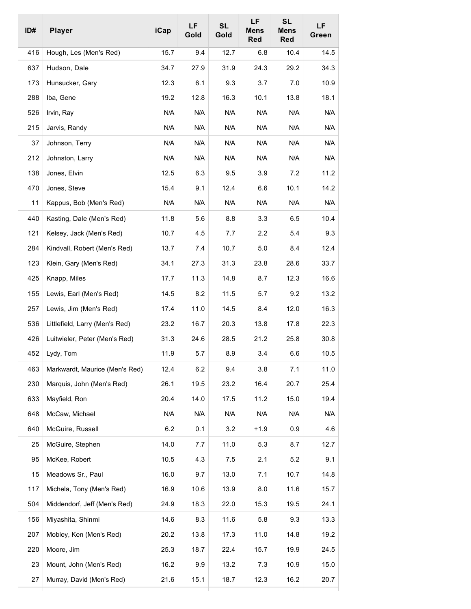| ID# | <b>Player</b>                  | iCap | LF<br>Gold | <b>SL</b><br>Gold | LF<br><b>Mens</b><br>Red | <b>SL</b><br><b>Mens</b><br>Red | LF<br>Green |
|-----|--------------------------------|------|------------|-------------------|--------------------------|---------------------------------|-------------|
| 416 | Hough, Les (Men's Red)         | 15.7 | 9.4        | 12.7              | 6.8                      | 10.4                            | 14.5        |
| 637 | Hudson, Dale                   | 34.7 | 27.9       | 31.9              | 24.3                     | 29.2                            | 34.3        |
| 173 | Hunsucker, Gary                | 12.3 | 6.1        | 9.3               | 3.7                      | 7.0                             | 10.9        |
| 288 | Iba, Gene                      | 19.2 | 12.8       | 16.3              | 10.1                     | 13.8                            | 18.1        |
| 526 | Irvin, Ray                     | N/A  | N/A        | N/A               | N/A                      | N/A                             | N/A         |
| 215 | Jarvis, Randy                  | N/A  | N/A        | N/A               | N/A                      | N/A                             | N/A         |
| 37  | Johnson, Terry                 | N/A  | N/A        | N/A               | N/A                      | N/A                             | N/A         |
| 212 | Johnston, Larry                | N/A  | N/A        | N/A               | N/A                      | N/A                             | N/A         |
| 138 | Jones, Elvin                   | 12.5 | 6.3        | 9.5               | 3.9                      | 7.2                             | 11.2        |
| 470 | Jones, Steve                   | 15.4 | 9.1        | 12.4              | 6.6                      | 10.1                            | 14.2        |
| 11  | Kappus, Bob (Men's Red)        | N/A  | N/A        | N/A               | N/A                      | N/A                             | N/A         |
| 440 | Kasting, Dale (Men's Red)      | 11.8 | 5.6        | 8.8               | 3.3                      | 6.5                             | 10.4        |
| 121 | Kelsey, Jack (Men's Red)       | 10.7 | 4.5        | 7.7               | 2.2                      | 5.4                             | 9.3         |
| 284 | Kindvall, Robert (Men's Red)   | 13.7 | 7.4        | 10.7              | 5.0                      | 8.4                             | 12.4        |
| 123 | Klein, Gary (Men's Red)        | 34.1 | 27.3       | 31.3              | 23.8                     | 28.6                            | 33.7        |
| 425 | Knapp, Miles                   | 17.7 | 11.3       | 14.8              | 8.7                      | 12.3                            | 16.6        |
| 155 | Lewis, Earl (Men's Red)        | 14.5 | 8.2        | 11.5              | 5.7                      | 9.2                             | 13.2        |
| 257 | Lewis, Jim (Men's Red)         | 17.4 | 11.0       | 14.5              | 8.4                      | 12.0                            | 16.3        |
| 536 | Littlefield, Larry (Men's Red) | 23.2 | 16.7       | 20.3              | 13.8                     | 17.8                            | 22.3        |
| 426 | Luitwieler, Peter (Men's Red)  | 31.3 | 24.6       | 28.5              | 21.2                     | 25.8                            | 30.8        |
| 452 | Lydy, Tom                      | 11.9 | 5.7        | 8.9               | 3.4                      | 6.6                             | 10.5        |
| 463 | Markwardt, Maurice (Men's Red) | 12.4 | 6.2        | 9.4               | 3.8                      | 7.1                             | 11.0        |
| 230 | Marquis, John (Men's Red)      | 26.1 | 19.5       | 23.2              | 16.4                     | 20.7                            | 25.4        |
| 633 | Mayfield, Ron                  | 20.4 | 14.0       | 17.5              | 11.2                     | 15.0                            | 19.4        |
| 648 | McCaw, Michael                 | N/A  | N/A        | N/A               | N/A                      | N/A                             | N/A         |
| 640 | McGuire, Russell               | 6.2  | 0.1        | 3.2               | $+1.9$                   | 0.9                             | 4.6         |
| 25  | McGuire, Stephen               | 14.0 | 7.7        | 11.0              | 5.3                      | 8.7                             | 12.7        |
| 95  | McKee, Robert                  | 10.5 | 4.3        | 7.5               | 2.1                      | 5.2                             | 9.1         |
| 15  | Meadows Sr., Paul              | 16.0 | 9.7        | 13.0              | 7.1                      | 10.7                            | 14.8        |
| 117 | Michela, Tony (Men's Red)      | 16.9 | 10.6       | 13.9              | 8.0                      | 11.6                            | 15.7        |
| 504 | Middendorf, Jeff (Men's Red)   | 24.9 | 18.3       | 22.0              | 15.3                     | 19.5                            | 24.1        |
| 156 | Miyashita, Shinmi              | 14.6 | 8.3        | 11.6              | 5.8                      | 9.3                             | 13.3        |
| 207 | Mobley, Ken (Men's Red)        | 20.2 | 13.8       | 17.3              | 11.0                     | 14.8                            | 19.2        |
| 220 | Moore, Jim                     | 25.3 | 18.7       | 22.4              | 15.7                     | 19.9                            | 24.5        |
| 23  | Mount, John (Men's Red)        | 16.2 | 9.9        | 13.2              | 7.3                      | 10.9                            | 15.0        |
| 27  | Murray, David (Men's Red)      | 21.6 | 15.1       | 18.7              | 12.3                     | 16.2                            | 20.7        |
|     |                                |      |            |                   |                          |                                 |             |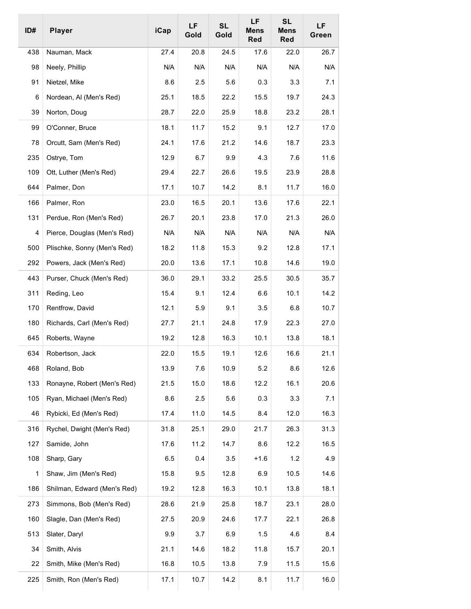| ID# | <b>Player</b>               | iCap | LF<br>Gold | <b>SL</b><br>Gold | LF<br><b>Mens</b><br>Red | <b>SL</b><br><b>Mens</b><br><b>Red</b> | LF<br>Green |
|-----|-----------------------------|------|------------|-------------------|--------------------------|----------------------------------------|-------------|
| 438 | Nauman, Mack                | 27.4 | 20.8       | 24.5              | 17.6                     | 22.0                                   | 26.7        |
| 98  | Neely, Phillip              | N/A  | N/A        | N/A               | N/A                      | N/A                                    | N/A         |
| 91  | Nietzel, Mike               | 8.6  | 2.5        | 5.6               | 0.3                      | 3.3                                    | 7.1         |
| 6   | Nordean, Al (Men's Red)     | 25.1 | 18.5       | 22.2              | 15.5                     | 19.7                                   | 24.3        |
| 39  | Norton, Doug                | 28.7 | 22.0       | 25.9              | 18.8                     | 23.2                                   | 28.1        |
| 99  | O'Conner, Bruce             | 18.1 | 11.7       | 15.2              | 9.1                      | 12.7                                   | 17.0        |
| 78  | Orcutt, Sam (Men's Red)     | 24.1 | 17.6       | 21.2              | 14.6                     | 18.7                                   | 23.3        |
| 235 | Ostrye, Tom                 | 12.9 | 6.7        | 9.9               | 4.3                      | 7.6                                    | 11.6        |
| 109 | Ott, Luther (Men's Red)     | 29.4 | 22.7       | 26.6              | 19.5                     | 23.9                                   | 28.8        |
| 644 | Palmer, Don                 | 17.1 | 10.7       | 14.2              | 8.1                      | 11.7                                   | 16.0        |
| 166 | Palmer, Ron                 | 23.0 | 16.5       | 20.1              | 13.6                     | 17.6                                   | 22.1        |
| 131 | Perdue, Ron (Men's Red)     | 26.7 | 20.1       | 23.8              | 17.0                     | 21.3                                   | 26.0        |
| 4   | Pierce, Douglas (Men's Red) | N/A  | N/A        | N/A               | N/A                      | N/A                                    | N/A         |
| 500 | Plischke, Sonny (Men's Red) | 18.2 | 11.8       | 15.3              | 9.2                      | 12.8                                   | 17.1        |
| 292 | Powers, Jack (Men's Red)    | 20.0 | 13.6       | 17.1              | 10.8                     | 14.6                                   | 19.0        |
| 443 | Purser, Chuck (Men's Red)   | 36.0 | 29.1       | 33.2              | 25.5                     | 30.5                                   | 35.7        |
| 311 | Reding, Leo                 | 15.4 | 9.1        | 12.4              | 6.6                      | 10.1                                   | 14.2        |
| 170 | Rentfrow, David             | 12.1 | 5.9        | 9.1               | 3.5                      | 6.8                                    | 10.7        |
| 180 | Richards, Carl (Men's Red)  | 27.7 | 21.1       | 24.8              | 17.9                     | 22.3                                   | 27.0        |
| 645 | Roberts, Wayne              | 19.2 | 12.8       | 16.3              | 10.1                     | 13.8                                   | 18.1        |
| 634 | Robertson, Jack             | 22.0 | 15.5       | 19.1              | 12.6                     | 16.6                                   | 21.1        |
| 468 | Roland, Bob                 | 13.9 | 7.6        | 10.9              | 5.2                      | 8.6                                    | 12.6        |
| 133 | Ronayne, Robert (Men's Red) | 21.5 | 15.0       | 18.6              | 12.2                     | 16.1                                   | 20.6        |
| 105 | Ryan, Michael (Men's Red)   | 8.6  | 2.5        | 5.6               | 0.3                      | 3.3                                    | 7.1         |
| 46  | Rybicki, Ed (Men's Red)     | 17.4 | 11.0       | 14.5              | 8.4                      | 12.0                                   | 16.3        |
| 316 | Rychel, Dwight (Men's Red)  | 31.8 | 25.1       | 29.0              | 21.7                     | 26.3                                   | 31.3        |
| 127 | Samide, John                | 17.6 | 11.2       | 14.7              | 8.6                      | 12.2                                   | 16.5        |
| 108 | Sharp, Gary                 | 6.5  | 0.4        | 3.5               | $+1.6$                   | 1.2                                    | 4.9         |
| 1   | Shaw, Jim (Men's Red)       | 15.8 | 9.5        | 12.8              | 6.9                      | 10.5                                   | 14.6        |
| 186 | Shilman, Edward (Men's Red) | 19.2 | 12.8       | 16.3              | 10.1                     | 13.8                                   | 18.1        |
| 273 | Simmons, Bob (Men's Red)    | 28.6 | 21.9       | 25.8              | 18.7                     | 23.1                                   | 28.0        |
| 160 | Slagle, Dan (Men's Red)     | 27.5 | 20.9       | 24.6              | 17.7                     | 22.1                                   | 26.8        |
| 513 | Slater, Daryl               | 9.9  | 3.7        | 6.9               | 1.5                      | 4.6                                    | 8.4         |
| 34  | Smith, Alvis                | 21.1 | 14.6       | 18.2              | 11.8                     | 15.7                                   | 20.1        |
| 22  | Smith, Mike (Men's Red)     | 16.8 | 10.5       | 13.8              | 7.9                      | 11.5                                   | 15.6        |
| 225 | Smith, Ron (Men's Red)      | 17.1 | 10.7       | 14.2              | 8.1                      | 11.7                                   | 16.0        |